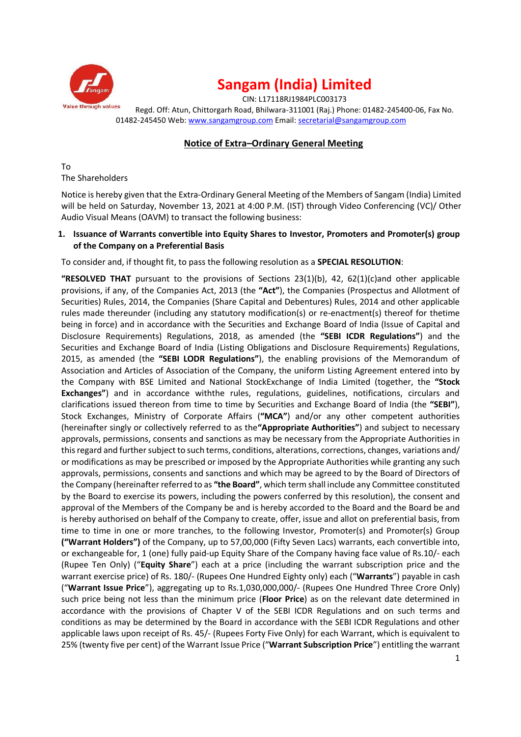

CIN: L17118RJ1984PLC003173 Regd. Off: Atun, Chittorgarh Road, Bhilwara-311001 (Raj.) Phone: 01482-245400-06, Fax No. 01482-245450 Web: www.sangamgroup.com Email: secretarial@sangamgroup.com

### **Notice of Extra–Ordinary General Meeting**

To The Shareholders

Notice is hereby given that the Extra-Ordinary General Meeting of the Members of Sangam (India) Limited will be held on Saturday, November 13, 2021 at 4:00 P.M. (IST) through Video Conferencing (VC)/ Other Audio Visual Means (OAVM) to transact the following business:

### **1. Issuance of Warrants convertible into Equity Shares to Investor, Promoters and Promoter(s) group of the Company on a Preferential Basis**

To consider and, if thought fit, to pass the following resolution as a **SPECIAL RESOLUTION**:

**"RESOLVED THAT** pursuant to the provisions of Sections 23(1)(b), 42, 62(1)(c)and other applicable provisions, if any, of the Companies Act, 2013 (the **"Act"**), the Companies (Prospectus and Allotment of Securities) Rules, 2014, the Companies (Share Capital and Debentures) Rules, 2014 and other applicable rules made thereunder (including any statutory modification(s) or re-enactment(s) thereof for thetime being in force) and in accordance with the Securities and Exchange Board of India (Issue of Capital and Disclosure Requirements) Regulations, 2018, as amended (the **"SEBI ICDR Regulations"**) and the Securities and Exchange Board of India (Listing Obligations and Disclosure Requirements) Regulations, 2015, as amended (the **"SEBI LODR Regulations"**), the enabling provisions of the Memorandum of Association and Articles of Association of the Company, the uniform Listing Agreement entered into by the Company with BSE Limited and National StockExchange of India Limited (together, the **"Stock Exchanges"**) and in accordance withthe rules, regulations, guidelines, notifications, circulars and clarifications issued thereon from time to time by Securities and Exchange Board of India (the **"SEBI"**), Stock Exchanges, Ministry of Corporate Affairs (**"MCA"**) and/or any other competent authorities (hereinafter singly or collectively referred to as the**"Appropriate Authorities"**) and subject to necessary approvals, permissions, consents and sanctions as may be necessary from the Appropriate Authorities in this regard and further subject to such terms, conditions, alterations, corrections, changes, variations and/ or modifications as may be prescribed or imposed by the Appropriate Authorities while granting any such approvals, permissions, consents and sanctions and which may be agreed to by the Board of Directors of the Company (hereinafter referred to as **"the Board"**, which term shall include any Committee constituted by the Board to exercise its powers, including the powers conferred by this resolution), the consent and approval of the Members of the Company be and is hereby accorded to the Board and the Board be and is hereby authorised on behalf of the Company to create, offer, issue and allot on preferential basis, from time to time in one or more tranches, to the following Investor, Promoter(s) and Promoter(s) Group **("Warrant Holders")** of the Company, up to 57,00,000 (Fifty Seven Lacs) warrants, each convertible into, or exchangeable for, 1 (one) fully paid-up Equity Share of the Company having face value of Rs.10/- each (Rupee Ten Only) ("**Equity Share**") each at a price (including the warrant subscription price and the warrant exercise price) of Rs. 180/- (Rupees One Hundred Eighty only) each ("**Warrants**") payable in cash ("**Warrant Issue Price**"), aggregating up to Rs.1,030,000,000/- (Rupees One Hundred Three Crore Only) such price being not less than the minimum price (**Floor Price**) as on the relevant date determined in accordance with the provisions of Chapter V of the SEBI ICDR Regulations and on such terms and conditions as may be determined by the Board in accordance with the SEBI ICDR Regulations and other applicable laws upon receipt of Rs. 45/- (Rupees Forty Five Only) for each Warrant, which is equivalent to 25% (twenty five per cent) of the Warrant Issue Price ("**Warrant Subscription Price**") entitling the warrant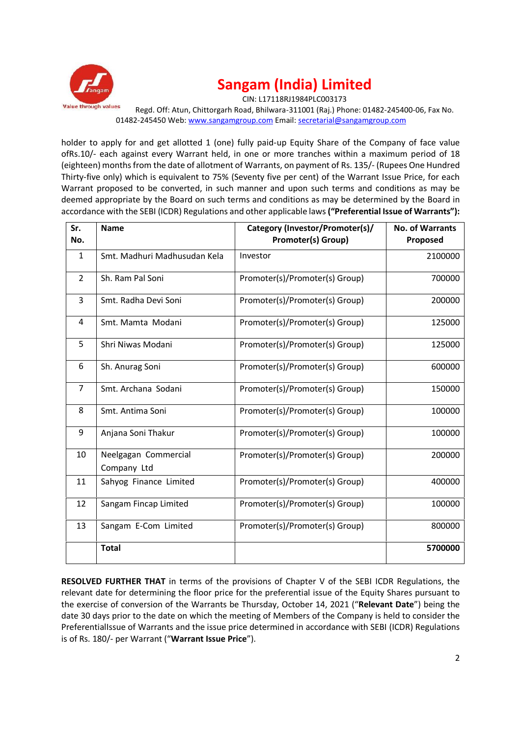

CIN: L17118RJ1984PLC003173

Regd. Off: Atun, Chittorgarh Road, Bhilwara-311001 (Raj.) Phone: 01482-245400-06, Fax No. 01482-245450 Web: www.sangamgroup.com Email: secretarial@sangamgroup.com

holder to apply for and get allotted 1 (one) fully paid-up Equity Share of the Company of face value ofRs.10/- each against every Warrant held, in one or more tranches within a maximum period of 18 (eighteen) months from the date of allotment of Warrants, on payment of Rs. 135/- (Rupees One Hundred Thirty-five only) which is equivalent to 75% (Seventy five per cent) of the Warrant Issue Price, for each Warrant proposed to be converted, in such manner and upon such terms and conditions as may be deemed appropriate by the Board on such terms and conditions as may be determined by the Board in accordance with the SEBI (ICDR) Regulations and other applicable laws**("Preferential Issue of Warrants"):**

| Sr.<br>No. | <b>Name</b>                         | Category (Investor/Promoter(s)/<br><b>Promoter(s) Group)</b> | <b>No. of Warrants</b><br>Proposed |
|------------|-------------------------------------|--------------------------------------------------------------|------------------------------------|
| 1          | Smt. Madhuri Madhusudan Kela        | Investor                                                     | 2100000                            |
| 2          | Sh. Ram Pal Soni                    | Promoter(s)/Promoter(s) Group)                               | 700000                             |
| 3          | Smt. Radha Devi Soni                | Promoter(s)/Promoter(s) Group)                               | 200000                             |
| 4          | Smt. Mamta Modani                   | Promoter(s)/Promoter(s) Group)                               | 125000                             |
| 5          | Shri Niwas Modani                   | Promoter(s)/Promoter(s) Group)                               | 125000                             |
| 6          | Sh. Anurag Soni                     | Promoter(s)/Promoter(s) Group)                               | 600000                             |
| 7          | Smt. Archana Sodani                 | Promoter(s)/Promoter(s) Group)                               | 150000                             |
| 8          | Smt. Antima Soni                    | Promoter(s)/Promoter(s) Group)                               | 100000                             |
| 9          | Anjana Soni Thakur                  | Promoter(s)/Promoter(s) Group)                               | 100000                             |
| 10         | Neelgagan Commercial<br>Company Ltd | Promoter(s)/Promoter(s) Group)                               | 200000                             |
| 11         | Sahyog Finance Limited              | Promoter(s)/Promoter(s) Group)                               | 400000                             |
| 12         | Sangam Fincap Limited               | Promoter(s)/Promoter(s) Group)                               | 100000                             |
| 13         | Sangam E-Com Limited                | Promoter(s)/Promoter(s) Group)                               | 800000                             |
|            | <b>Total</b>                        |                                                              | 5700000                            |

**RESOLVED FURTHER THAT** in terms of the provisions of Chapter V of the SEBI ICDR Regulations, the relevant date for determining the floor price for the preferential issue of the Equity Shares pursuant to the exercise of conversion of the Warrants be Thursday, October 14, 2021 ("**Relevant Date**") being the date 30 days prior to the date on which the meeting of Members of the Company is held to consider the PreferentialIssue of Warrants and the issue price determined in accordance with SEBI (ICDR) Regulations is of Rs. 180/- per Warrant ("**Warrant Issue Price**").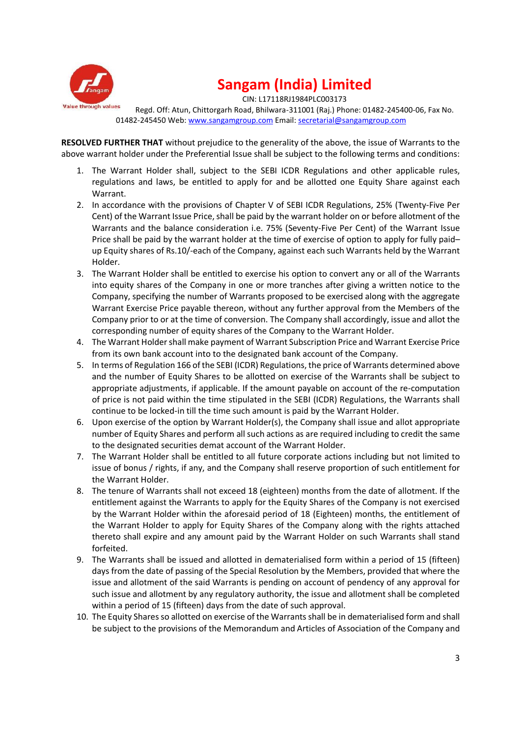

CIN: L17118RJ1984PLC003173

Regd. Off: Atun, Chittorgarh Road, Bhilwara-311001 (Raj.) Phone: 01482-245400-06, Fax No. 01482-245450 Web: www.sangamgroup.com Email: secretarial@sangamgroup.com

**RESOLVED FURTHER THAT** without prejudice to the generality of the above, the issue of Warrants to the above warrant holder under the Preferential Issue shall be subject to the following terms and conditions:

- 1. The Warrant Holder shall, subject to the SEBI ICDR Regulations and other applicable rules, regulations and laws, be entitled to apply for and be allotted one Equity Share against each Warrant.
- 2. In accordance with the provisions of Chapter V of SEBI ICDR Regulations, 25% (Twenty-Five Per Cent) of the Warrant Issue Price, shall be paid by the warrant holder on or before allotment of the Warrants and the balance consideration i.e. 75% (Seventy-Five Per Cent) of the Warrant Issue Price shall be paid by the warrant holder at the time of exercise of option to apply for fully paid– up Equity shares of Rs.10/-each of the Company, against each such Warrants held by the Warrant Holder.
- 3. The Warrant Holder shall be entitled to exercise his option to convert any or all of the Warrants into equity shares of the Company in one or more tranches after giving a written notice to the Company, specifying the number of Warrants proposed to be exercised along with the aggregate Warrant Exercise Price payable thereon, without any further approval from the Members of the Company prior to or at the time of conversion. The Company shall accordingly, issue and allot the corresponding number of equity shares of the Company to the Warrant Holder.
- 4. The Warrant Holder shall make payment of Warrant Subscription Price and Warrant Exercise Price from its own bank account into to the designated bank account of the Company.
- 5. In terms of Regulation 166 of the SEBI (ICDR) Regulations, the price of Warrants determined above and the number of Equity Shares to be allotted on exercise of the Warrants shall be subject to appropriate adjustments, if applicable. If the amount payable on account of the re-computation of price is not paid within the time stipulated in the SEBI (ICDR) Regulations, the Warrants shall continue to be locked-in till the time such amount is paid by the Warrant Holder.
- 6. Upon exercise of the option by Warrant Holder(s), the Company shall issue and allot appropriate number of Equity Shares and perform all such actions as are required including to credit the same to the designated securities demat account of the Warrant Holder.
- 7. The Warrant Holder shall be entitled to all future corporate actions including but not limited to issue of bonus / rights, if any, and the Company shall reserve proportion of such entitlement for the Warrant Holder.
- 8. The tenure of Warrants shall not exceed 18 (eighteen) months from the date of allotment. If the entitlement against the Warrants to apply for the Equity Shares of the Company is not exercised by the Warrant Holder within the aforesaid period of 18 (Eighteen) months, the entitlement of the Warrant Holder to apply for Equity Shares of the Company along with the rights attached thereto shall expire and any amount paid by the Warrant Holder on such Warrants shall stand forfeited.
- 9. The Warrants shall be issued and allotted in dematerialised form within a period of 15 (fifteen) days from the date of passing of the Special Resolution by the Members, provided that where the issue and allotment of the said Warrants is pending on account of pendency of any approval for such issue and allotment by any regulatory authority, the issue and allotment shall be completed within a period of 15 (fifteen) days from the date of such approval.
- 10. The Equity Shares so allotted on exercise of the Warrants shall be in dematerialised form and shall be subject to the provisions of the Memorandum and Articles of Association of the Company and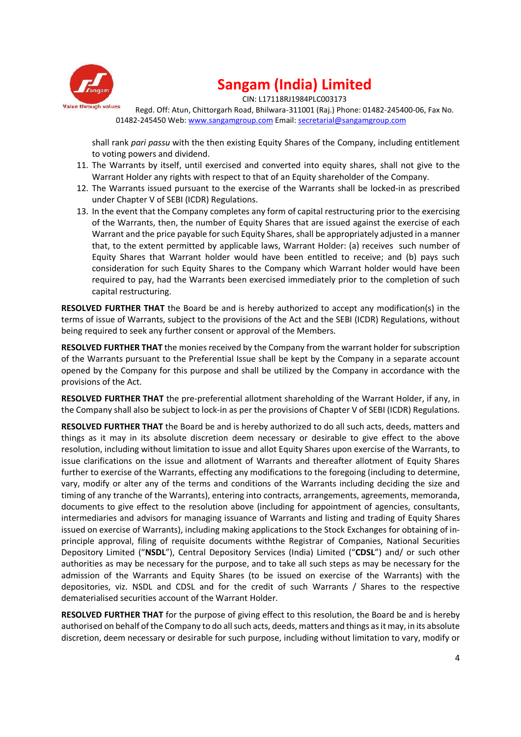

CIN: L17118RJ1984PLC003173

Regd. Off: Atun, Chittorgarh Road, Bhilwara-311001 (Raj.) Phone: 01482-245400-06, Fax No. 01482-245450 Web: www.sangamgroup.com Email: secretarial@sangamgroup.com

shall rank *pari passu* with the then existing Equity Shares of the Company, including entitlement to voting powers and dividend.

- 11. The Warrants by itself, until exercised and converted into equity shares, shall not give to the Warrant Holder any rights with respect to that of an Equity shareholder of the Company.
- 12. The Warrants issued pursuant to the exercise of the Warrants shall be locked-in as prescribed under Chapter V of SEBI (ICDR) Regulations.
- 13. In the event that the Company completes any form of capital restructuring prior to the exercising of the Warrants, then, the number of Equity Shares that are issued against the exercise of each Warrant and the price payable for such Equity Shares, shall be appropriately adjusted in a manner that, to the extent permitted by applicable laws, Warrant Holder: (a) receives such number of Equity Shares that Warrant holder would have been entitled to receive; and (b) pays such consideration for such Equity Shares to the Company which Warrant holder would have been required to pay, had the Warrants been exercised immediately prior to the completion of such capital restructuring.

**RESOLVED FURTHER THAT** the Board be and is hereby authorized to accept any modification(s) in the terms of issue of Warrants, subject to the provisions of the Act and the SEBI (ICDR) Regulations, without being required to seek any further consent or approval of the Members.

**RESOLVED FURTHER THAT** the monies received by the Company from the warrant holder for subscription of the Warrants pursuant to the Preferential Issue shall be kept by the Company in a separate account opened by the Company for this purpose and shall be utilized by the Company in accordance with the provisions of the Act.

**RESOLVED FURTHER THAT** the pre-preferential allotment shareholding of the Warrant Holder, if any, in the Company shall also be subject to lock-in as per the provisions of Chapter V of SEBI (ICDR) Regulations.

**RESOLVED FURTHER THAT** the Board be and is hereby authorized to do all such acts, deeds, matters and things as it may in its absolute discretion deem necessary or desirable to give effect to the above resolution, including without limitation to issue and allot Equity Shares upon exercise of the Warrants, to issue clarifications on the issue and allotment of Warrants and thereafter allotment of Equity Shares further to exercise of the Warrants, effecting any modifications to the foregoing (including to determine, vary, modify or alter any of the terms and conditions of the Warrants including deciding the size and timing of any tranche of the Warrants), entering into contracts, arrangements, agreements, memoranda, documents to give effect to the resolution above (including for appointment of agencies, consultants, intermediaries and advisors for managing issuance of Warrants and listing and trading of Equity Shares issued on exercise of Warrants), including making applications to the Stock Exchanges for obtaining of in principle approval, filing of requisite documents withthe Registrar of Companies, National Securities Depository Limited ("**NSDL**"), Central Depository Services (India) Limited ("**CDSL**") and/ or such other authorities as may be necessary for the purpose, and to take all such steps as may be necessary for the admission of the Warrants and Equity Shares (to be issued on exercise of the Warrants) with the depositories, viz. NSDL and CDSL and for the credit of such Warrants / Shares to the respective dematerialised securities account of the Warrant Holder.

**RESOLVED FURTHER THAT** for the purpose of giving effect to this resolution, the Board be and is hereby authorised on behalf of the Company to do all such acts, deeds, matters and things as it may, in its absolute discretion, deem necessary or desirable for such purpose, including without limitation to vary, modify or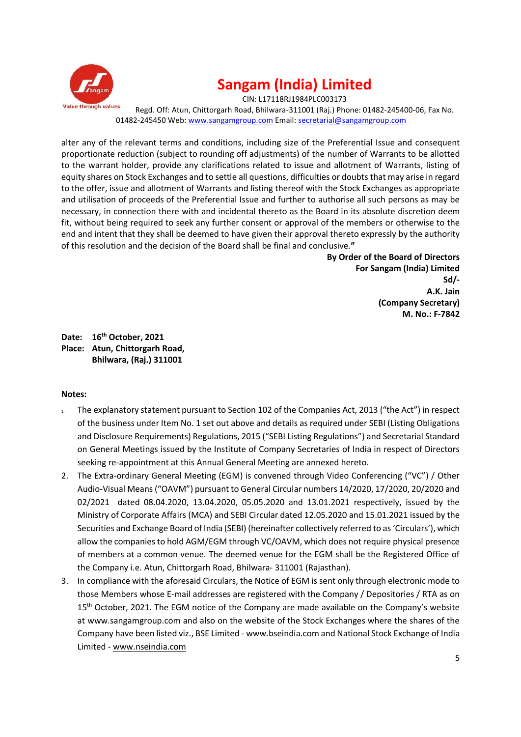

CIN: L17118RJ1984PLC003173 Regd. Off: Atun, Chittorgarh Road, Bhilwara-311001 (Raj.) Phone: 01482-245400-06, Fax No. 01482-245450 Web: www.sangamgroup.com Email: secretarial@sangamgroup.com

alter any of the relevant terms and conditions, including size of the Preferential Issue and consequent proportionate reduction (subject to rounding off adjustments) of the number of Warrants to be allotted to the warrant holder, provide any clarifications related to issue and allotment of Warrants, listing of equity shares on Stock Exchanges and to settle all questions, difficulties or doubts that may arise in regard to the offer, issue and allotment of Warrants and listing thereof with the Stock Exchanges as appropriate and utilisation of proceeds of the Preferential Issue and further to authorise all such persons as may be necessary, in connection there with and incidental thereto as the Board in its absolute discretion deem fit, without being required to seek any further consent or approval of the members or otherwise to the end and intent that they shall be deemed to have given their approval thereto expressly by the authority of this resolution and the decision of the Board shall be final and conclusive.**"**

> **By Order of the Board of Directors For Sangam (India) Limited Sd/- A.K. Jain (Company Secretary) M. No.: F-7842**

**Date: 16th October, 2021 Place: Atun, Chittorgarh Road, Bhilwara, (Raj.) 311001**

### **Notes:**

- 1. The explanatory statement pursuant to Section 102 of the Companies Act, 2013 ("the Act") in respect of the business under Item No. 1 set out above and details as required under SEBI (Listing Obligations and Disclosure Requirements) Regulations, 2015 ("SEBI Listing Regulations") and Secretarial Standard on General Meetings issued by the Institute of Company Secretaries of India in respect of Directors seeking re-appointment at this Annual General Meeting are annexed hereto.
- 2. The Extra-ordinary General Meeting (EGM) is convened through Video Conferencing ("VC") / Other Audio-Visual Means ("OAVM") pursuant to General Circular numbers 14/2020, 17/2020, 20/2020 and 02/2021 dated 08.04.2020, 13.04.2020, 05.05.2020 and 13.01.2021 respectively, issued by the Ministry of Corporate Affairs (MCA) and SEBI Circular dated 12.05.2020 and 15.01.2021 issued by the Securities and Exchange Board of India (SEBI) (hereinafter collectively referred to as 'Circulars'), which allow the companies to hold AGM/EGM through VC/OAVM, which does not require physical presence of members at a common venue. The deemed venue for the EGM shall be the Registered Office of the Company i.e. Atun, Chittorgarh Road, Bhilwara- 311001 (Rajasthan).
- 3. In compliance with the aforesaid Circulars, the Notice of EGM is sent only through electronic mode to those Members whose E-mail addresses are registered with the Company / Depositories / RTA as on 15<sup>th</sup> October, 2021. The EGM notice of the Company are made available on the Company's website at www.sangamgroup.com and also on the website of the Stock Exchanges where the shares of the Company have been listed viz., BSE Limited - www.bseindia.com and National Stock Exchange of India Limited - www.nseindia.com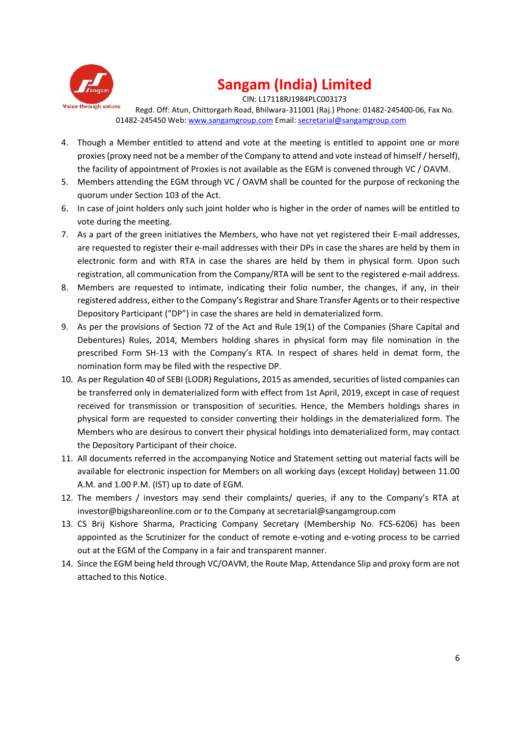

CIN: L17118RJ1984PLC003173

Regd. Off: Atun, Chittorgarh Road, Bhilwara-311001 (Raj.) Phone: 01482-245400-06, Fax No. 01482-245450 Web: www.sangamgroup.com Email: secretarial@sangamgroup.com

- 4. Though a Member entitled to attend and vote at the meeting is entitled to appoint one or more proxies (proxy need not be a member of the Company to attend and vote instead of himself / herself), the facility of appointment of Proxies is not available as the EGM is convened through VC / OAVM.
- 5. Members attending the EGM through VC / OAVM shall be counted for the purpose of reckoning the quorum under Section 103 of the Act.
- 6. In case of joint holders only such joint holder who is higher in the order of names will be entitled to vote during the meeting.
- 7. As a part of the green initiatives the Members, who have not yet registered their E-mail addresses, are requested to register their e-mail addresses with their DPs in case the shares are held by them in electronic form and with RTA in case the shares are held by them in physical form. Upon such registration, all communication from the Company/RTA will be sent to the registered e-mail address.
- 8. Members are requested to intimate, indicating their folio number, the changes, if any, in their registered address, either to the Company's Registrar and Share Transfer Agents or to their respective Depository Participant ("DP") in case the shares are held in dematerialized form.
- 9. As per the provisions of Section 72 of the Act and Rule 19(1) of the Companies (Share Capital and Debentures) Rules, 2014, Members holding shares in physical form may file nomination in the prescribed Form SH-13 with the Company's RTA. In respect of shares held in demat form, the nomination form may be filed with the respective DP.
- 10. As per Regulation 40 of SEBI (LODR) Regulations, 2015 as amended, securities of listed companies can be transferred only in dematerialized form with effect from 1st April, 2019, except in case of request received for transmission or transposition of securities. Hence, the Members holdings shares in physical form are requested to consider converting their holdings in the dematerialized form. The Members who are desirous to convert their physical holdings into dematerialized form, may contact the Depository Participant of their choice.
- 11. All documents referred in the accompanying Notice and Statement setting out material facts will be available for electronic inspection for Members on all working days (except Holiday) between 11.00 A.M. and 1.00 P.M. (IST) up to date of EGM.
- 12. The members / investors may send their complaints/ queries, if any to the Company's RTA at investor@bigshareonline.com or to the Company at secretarial@sangamgroup.com
- 13. CS Brij Kishore Sharma, Practicing Company Secretary (Membership No. FCS-6206) has been appointed as the Scrutinizer for the conduct of remote e-voting and e-voting process to be carried out at the EGM of the Company in a fair and transparent manner.
- 14. Since the EGM being held through VC/OAVM, the Route Map, Attendance Slip and proxy form are not attached to this Notice.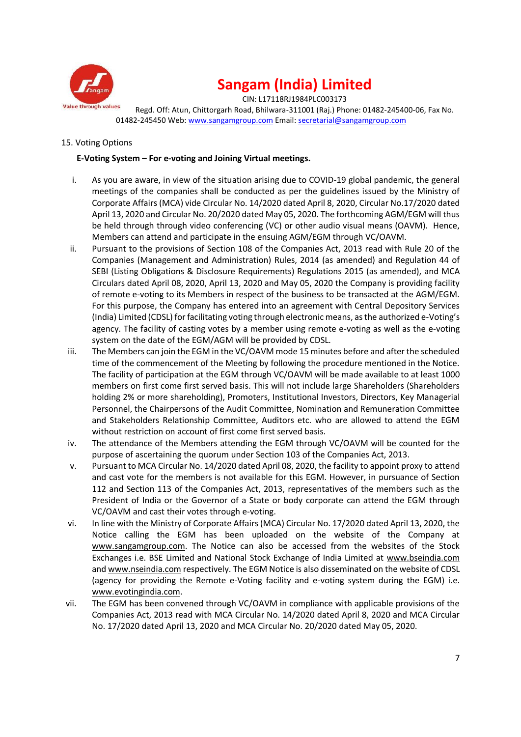

CIN: L17118RJ1984PLC003173

Regd. Off: Atun, Chittorgarh Road, Bhilwara-311001 (Raj.) Phone: 01482-245400-06, Fax No. 01482-245450 Web: www.sangamgroup.com Email: secretarial@sangamgroup.com

### 15. Voting Options

### **E-Voting System – For e-voting and Joining Virtual meetings.**

- i. As you are aware, in view of the situation arising due to COVID-19 global pandemic, the general meetings of the companies shall be conducted as per the guidelines issued by the Ministry of Corporate Affairs (MCA) vide Circular No. 14/2020 dated April 8, 2020, Circular No.17/2020 dated April 13, 2020 and Circular No. 20/2020 dated May 05, 2020. The forthcoming AGM/EGM will thus be held through through video conferencing (VC) or other audio visual means (OAVM). Hence, Members can attend and participate in the ensuing AGM/EGM through VC/OAVM.
- ii. Pursuant to the provisions of Section 108 of the Companies Act, 2013 read with Rule 20 of the Companies (Management and Administration) Rules, 2014 (as amended) and Regulation 44 of SEBI (Listing Obligations & Disclosure Requirements) Regulations 2015 (as amended), and MCA Circulars dated April 08, 2020, April 13, 2020 and May 05, 2020 the Company is providing facility of remote e-voting to its Members in respect of the business to be transacted at the AGM/EGM. For this purpose, the Company has entered into an agreement with Central Depository Services (India) Limited (CDSL) for facilitating voting through electronic means, as the authorized e-Voting's agency. The facility of casting votes by a member using remote e-voting as well as the e-voting system on the date of the EGM/AGM will be provided by CDSL.
- iii. The Members can join the EGM in the VC/OAVM mode 15 minutes before and after the scheduled time of the commencement of the Meeting by following the procedure mentioned in the Notice. The facility of participation at the EGM through VC/OAVM will be made available to at least 1000 members on first come first served basis. This will not include large Shareholders (Shareholders holding 2% or more shareholding), Promoters, Institutional Investors, Directors, Key Managerial Personnel, the Chairpersons of the Audit Committee, Nomination and Remuneration Committee and Stakeholders Relationship Committee, Auditors etc. who are allowed to attend the EGM without restriction on account of first come first served basis.
- iv. The attendance of the Members attending the EGM through VC/OAVM will be counted for the purpose of ascertaining the quorum under Section 103 of the Companies Act, 2013.
- v. Pursuant to MCA Circular No. 14/2020 dated April 08, 2020, the facility to appoint proxy to attend and cast vote for the members is not available for this EGM. However, in pursuance of Section 112 and Section 113 of the Companies Act, 2013, representatives of the members such as the President of India or the Governor of a State or body corporate can attend the EGM through VC/OAVM and cast their votes through e-voting.
- vi. In line with the Ministry of Corporate Affairs (MCA) Circular No. 17/2020 dated April 13, 2020, the Notice calling the EGM has been uploaded on the website of the Company at www.sangamgroup.com. The Notice can also be accessed from the websites of the Stock Exchanges i.e. BSE Limited and National Stock Exchange of India Limited at www.bseindia.com and www.nseindia.com respectively. The EGM Notice is also disseminated on the website of CDSL (agency for providing the Remote e-Voting facility and e-voting system during the EGM) i.e. www.evotingindia.com.
- vii. The EGM has been convened through VC/OAVM in compliance with applicable provisions of the Companies Act, 2013 read with MCA Circular No. 14/2020 dated April 8, 2020 and MCA Circular No. 17/2020 dated April 13, 2020 and MCA Circular No. 20/2020 dated May 05, 2020.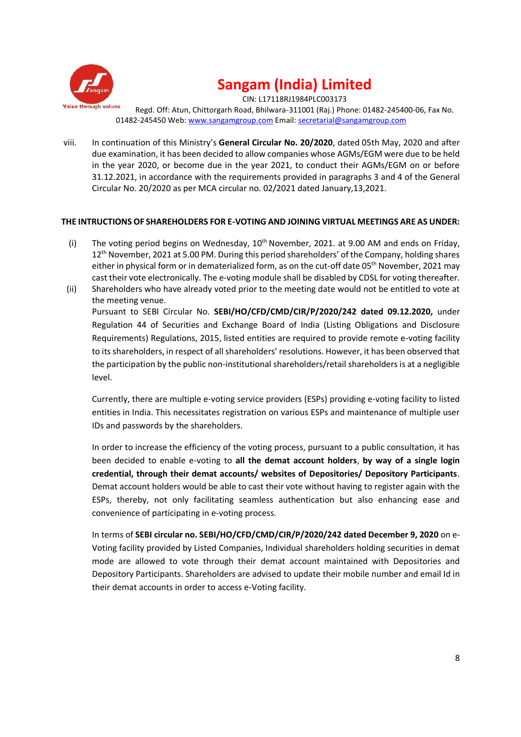

CIN: L17118RJ1984PLC003173 Regd. Off: Atun, Chittorgarh Road, Bhilwara-311001 (Raj.) Phone: 01482-245400-06, Fax No. 01482-245450 Web: www.sangamgroup.com Email: secretarial@sangamgroup.com

viii. In continuation of this Ministry's **General Circular No. 20/2020**, dated 05th May, 2020 and after due examination, it has been decided to allow companies whose AGMs/EGM were due to be held in the year 2020, or become due in the year 2021, to conduct their AGMs/EGM on or before 31.12.2021, in accordance with the requirements provided in paragraphs 3 and 4 of the General Circular No. 20/2020 as per MCA circular no. 02/2021 dated January,13,2021.

### **THE INTRUCTIONS OF SHAREHOLDERS FOR E-VOTING AND JOINING VIRTUAL MEETINGS ARE AS UNDER:**

- (i) The voting period begins on Wednesday,  $10^{th}$  November, 2021. at 9.00 AM and ends on Friday, 12<sup>th</sup> November, 2021 at 5.00 PM. During this period shareholders' of the Company, holding shares either in physical form or in dematerialized form, as on the cut-off date 05<sup>th</sup> November, 2021 may cast their vote electronically. The e-voting module shall be disabled by CDSL for voting thereafter.
- (ii) Shareholders who have already voted prior to the meeting date would not be entitled to vote at the meeting venue. Pursuant to SEBI Circular No. **SEBI/HO/CFD/CMD/CIR/P/2020/242 dated 09.12.2020,** under Regulation 44 of Securities and Exchange Board of India (Listing Obligations and Disclosure Requirements) Regulations, 2015, listed entities are required to provide remote e-voting facility to its shareholders, in respect of all shareholders' resolutions. However, it has been observed that the participation by the public non-institutional shareholders/retail shareholders is at a negligible level.

Currently, there are multiple e-voting service providers (ESPs) providing e-voting facility to listed entities in India. This necessitates registration on various ESPs and maintenance of multiple user IDs and passwords by the shareholders.

In order to increase the efficiency of the voting process, pursuant to a public consultation, it has been decided to enable e-voting to **all the demat account holders**, **by way of a single login credential, through their demat accounts/ websites of Depositories/ Depository Participants**. Demat account holders would be able to cast their vote without having to register again with the ESPs, thereby, not only facilitating seamless authentication but also enhancing ease and convenience of participating in e-voting process.

In terms of **SEBI circular no. SEBI/HO/CFD/CMD/CIR/P/2020/242 dated December 9, 2020** on e- Voting facility provided by Listed Companies, Individual shareholders holding securities in demat mode are allowed to vote through their demat account maintained with Depositories and Depository Participants. Shareholders are advised to update their mobile number and email Id in their demat accounts in order to access e-Voting facility.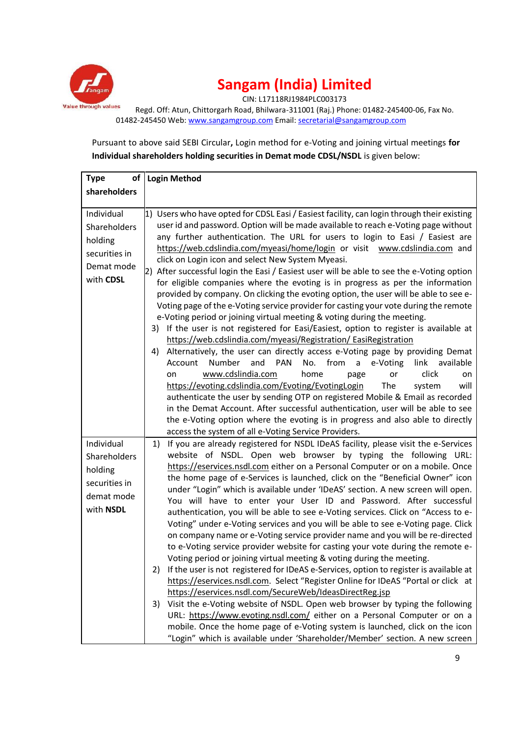

CIN: L17118RJ1984PLC003173

Regd. Off: Atun, Chittorgarh Road, Bhilwara-311001 (Raj.) Phone: 01482-245400-06, Fax No. 01482-245450 Web: www.sangamgroup.com Email: secretarial@sangamgroup.com

Pursuant to above said SEBI Circular**,** Login method for e-Voting and joining virtual meetings **for Individual shareholders holding securities in Demat mode CDSL/NSDL** is given below:

| <b>Type</b>                                                                       | of   Login Method                                                                                                                                                                                                                                                                                                                                                                                                                                                                                                                                                                                                                                                                                                                                                                                                                                                                                                                                                                                                                                                                                                                                                                                                                                                                                                                                                                                                                                                                                                                                                                                                                                           |
|-----------------------------------------------------------------------------------|-------------------------------------------------------------------------------------------------------------------------------------------------------------------------------------------------------------------------------------------------------------------------------------------------------------------------------------------------------------------------------------------------------------------------------------------------------------------------------------------------------------------------------------------------------------------------------------------------------------------------------------------------------------------------------------------------------------------------------------------------------------------------------------------------------------------------------------------------------------------------------------------------------------------------------------------------------------------------------------------------------------------------------------------------------------------------------------------------------------------------------------------------------------------------------------------------------------------------------------------------------------------------------------------------------------------------------------------------------------------------------------------------------------------------------------------------------------------------------------------------------------------------------------------------------------------------------------------------------------------------------------------------------------|
| shareholders                                                                      |                                                                                                                                                                                                                                                                                                                                                                                                                                                                                                                                                                                                                                                                                                                                                                                                                                                                                                                                                                                                                                                                                                                                                                                                                                                                                                                                                                                                                                                                                                                                                                                                                                                             |
|                                                                                   |                                                                                                                                                                                                                                                                                                                                                                                                                                                                                                                                                                                                                                                                                                                                                                                                                                                                                                                                                                                                                                                                                                                                                                                                                                                                                                                                                                                                                                                                                                                                                                                                                                                             |
| Individual<br>Shareholders<br>holding<br>securities in<br>Demat mode<br>with CDSL | 1) Users who have opted for CDSL Easi / Easiest facility, can login through their existing<br>user id and password. Option will be made available to reach e-Voting page without<br>any further authentication. The URL for users to login to Easi / Easiest are<br>https://web.cdslindia.com/myeasi/home/login or visit www.cdslindia.com and<br>click on Login icon and select New System Myeasi.<br>2) After successful login the Easi / Easiest user will be able to see the e-Voting option<br>for eligible companies where the evoting is in progress as per the information<br>provided by company. On clicking the evoting option, the user will be able to see e-<br>Voting page of the e-Voting service provider for casting your vote during the remote<br>e-Voting period or joining virtual meeting & voting during the meeting.<br>3) If the user is not registered for Easi/Easiest, option to register is available at<br>https://web.cdslindia.com/myeasi/Registration/ EasiRegistration<br>Alternatively, the user can directly access e-Voting page by providing Demat<br>4)<br>Number<br>and<br><b>PAN</b><br>No.<br>from<br>Account<br>e-Voting<br>link<br>available<br>a<br>www.cdslindia.com<br>click<br>home<br>or<br>on<br>page<br>on<br>https://evoting.cdslindia.com/Evoting/EvotingLogin<br>The<br>system<br>will<br>authenticate the user by sending OTP on registered Mobile & Email as recorded<br>in the Demat Account. After successful authentication, user will be able to see<br>the e-Voting option where the evoting is in progress and also able to directly<br>access the system of all e-Voting Service Providers. |
| Individual<br>Shareholders<br>holding<br>securities in<br>demat mode<br>with NSDL | If you are already registered for NSDL IDeAS facility, please visit the e-Services<br>1)<br>website of NSDL. Open web browser by typing the following URL:<br>https://eservices.nsdl.com either on a Personal Computer or on a mobile. Once<br>the home page of e-Services is launched, click on the "Beneficial Owner" icon<br>under "Login" which is available under 'IDeAS' section. A new screen will open.<br>You will have to enter your User ID and Password. After successful<br>authentication, you will be able to see e-Voting services. Click on "Access to e-<br>Voting" under e-Voting services and you will be able to see e-Voting page. Click<br>on company name or e-Voting service provider name and you will be re-directed<br>to e-Voting service provider website for casting your vote during the remote e-<br>Voting period or joining virtual meeting & voting during the meeting.<br>If the user is not registered for IDeAS e-Services, option to register is available at<br>2)<br>https://eservices.nsdl.com. Select "Register Online for IDeAS "Portal or click at<br>https://eservices.nsdl.com/SecureWeb/IdeasDirectReg.jsp<br>Visit the e-Voting website of NSDL. Open web browser by typing the following<br>3)<br>URL: https://www.evoting.nsdl.com/ either on a Personal Computer or on a<br>mobile. Once the home page of e-Voting system is launched, click on the icon<br>"Login" which is available under 'Shareholder/Member' section. A new screen                                                                                                                                                                |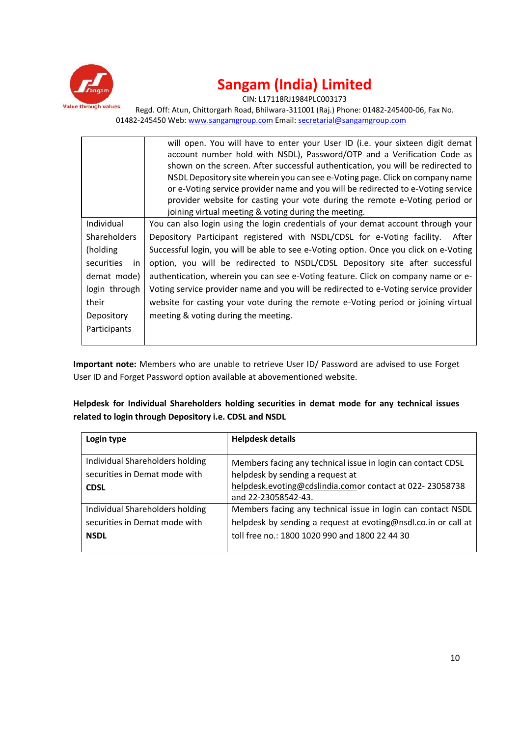

CIN: L17118RJ1984PLC003173

Regd. Off: Atun, Chittorgarh Road, Bhilwara-311001 (Raj.) Phone: 01482-245400-06, Fax No. 01482-245450 Web: www.sangamgroup.com Email: secretarial@sangamgroup.com

|                     | will open. You will have to enter your User ID (i.e. your sixteen digit demat<br>account number hold with NSDL), Password/OTP and a Verification Code as |
|---------------------|----------------------------------------------------------------------------------------------------------------------------------------------------------|
|                     | shown on the screen. After successful authentication, you will be redirected to                                                                          |
|                     | NSDL Depository site wherein you can see e-Voting page. Click on company name                                                                            |
|                     | or e-Voting service provider name and you will be redirected to e-Voting service                                                                         |
|                     | provider website for casting your vote during the remote e-Voting period or                                                                              |
|                     | joining virtual meeting & voting during the meeting.                                                                                                     |
| Individual          | You can also login using the login credentials of your demat account through your                                                                        |
| <b>Shareholders</b> | Depository Participant registered with NSDL/CDSL for e-Voting facility. After                                                                            |
| (holding)           | Successful login, you will be able to see e-Voting option. Once you click on e-Voting                                                                    |
| securities<br>in    | option, you will be redirected to NSDL/CDSL Depository site after successful                                                                             |
| demat mode)         | authentication, wherein you can see e-Voting feature. Click on company name or e-                                                                        |
| login through       | Voting service provider name and you will be redirected to e-Voting service provider                                                                     |
| their               | website for casting your vote during the remote e-Voting period or joining virtual                                                                       |
| Depository          | meeting & voting during the meeting.                                                                                                                     |
| Participants        |                                                                                                                                                          |
|                     |                                                                                                                                                          |

**Important note:** Members who are unable to retrieve User ID/ Password are advised to use Forget User ID and Forget Password option available at abovementioned website.

**Helpdesk for Individual Shareholders holding securities in demat mode for any technical issues related to login through Depository i.e. CDSL and NSDL**

| Login type                                                                      | <b>Helpdesk details</b>                                                                                                                                                             |  |
|---------------------------------------------------------------------------------|-------------------------------------------------------------------------------------------------------------------------------------------------------------------------------------|--|
| Individual Shareholders holding<br>securities in Demat mode with<br><b>CDSL</b> | Members facing any technical issue in login can contact CDSL<br>helpdesk by sending a request at<br>helpdesk.evoting@cdslindia.comor contact at 022-23058738<br>and 22-23058542-43. |  |
| Individual Shareholders holding                                                 | Members facing any technical issue in login can contact NSDL                                                                                                                        |  |
| securities in Demat mode with<br><b>NSDL</b>                                    | helpdesk by sending a request at evoting@nsdl.co.in or call at<br>toll free no.: 1800 1020 990 and 1800 22 44 30                                                                    |  |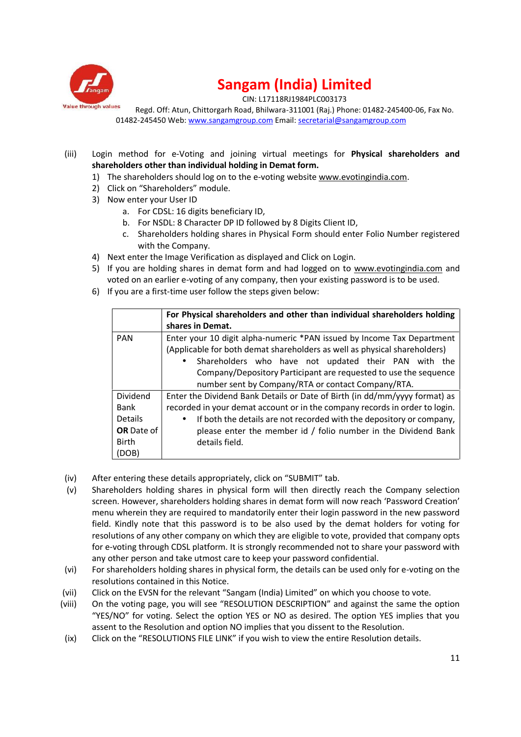

CIN: L17118RJ1984PLC003173

Regd. Off: Atun, Chittorgarh Road, Bhilwara-311001 (Raj.) Phone: 01482-245400-06, Fax No. 01482-245450 Web: www.sangamgroup.com Email: secretarial@sangamgroup.com

- (iii) Login method for e-Voting and joining virtual meetings for **Physical shareholders and shareholders other than individual holding in Demat form.**
	- 1) The shareholders should log on to the e-voting website www.evotingindia.com.
	- 2) Click on "Shareholders" module.
	- 3) Now enter your User ID
		- a. For CDSL: 16 digits beneficiary ID,
		- b. For NSDL: 8 Character DP ID followed by 8 Digits Client ID,
		- c. Shareholders holding shares in Physical Form should enter Folio Number registered with the Company.
	- 4) Next enter the Image Verification as displayed and Click on Login.
	- 5) If you are holding shares in demat form and had logged on to www.evotingindia.com and voted on an earlier e-voting of any company, then your existing password is to be used.
	- 6) If you are a first-time user follow the steps given below:

|                                                                                     | For Physical shareholders and other than individual shareholders holding<br>shares in Demat.                                                                                                                                                                                                 |  |  |
|-------------------------------------------------------------------------------------|----------------------------------------------------------------------------------------------------------------------------------------------------------------------------------------------------------------------------------------------------------------------------------------------|--|--|
| <b>PAN</b>                                                                          | Enter your 10 digit alpha-numeric *PAN issued by Income Tax Department<br>(Applicable for both demat shareholders as well as physical shareholders)<br>Shareholders who have not updated their PAN with the<br>$\bullet$<br>Company/Depository Participant are requested to use the sequence |  |  |
|                                                                                     | number sent by Company/RTA or contact Company/RTA.                                                                                                                                                                                                                                           |  |  |
| Dividend                                                                            | Enter the Dividend Bank Details or Date of Birth (in dd/mm/yyyy format) as                                                                                                                                                                                                                   |  |  |
| Bank                                                                                | recorded in your demat account or in the company records in order to login.                                                                                                                                                                                                                  |  |  |
| <b>Details</b>                                                                      | If both the details are not recorded with the depository or company,<br>$\bullet$                                                                                                                                                                                                            |  |  |
| <b>OR</b> Date of<br>please enter the member id / folio number in the Dividend Bank |                                                                                                                                                                                                                                                                                              |  |  |
| Birth                                                                               | details field.                                                                                                                                                                                                                                                                               |  |  |
| (DOB)                                                                               |                                                                                                                                                                                                                                                                                              |  |  |

- (iv) After entering these details appropriately, click on "SUBMIT" tab.
- (v) Shareholders holding shares in physical form will then directly reach the Company selection screen. However, shareholders holding shares in demat form will now reach 'Password Creation' menu wherein they are required to mandatorily enter their login password in the new password field. Kindly note that this password is to be also used by the demat holders for voting for resolutions of any other company on which they are eligible to vote, provided that company opts for e-voting through CDSL platform. It is strongly recommended not to share your password with any other person and take utmost care to keep your password confidential.
- (vi) For shareholders holding shares in physical form, the details can be used only for e-voting on the resolutions contained in this Notice.
- (vii) Click on the EVSN for the relevant "Sangam (India) Limited" on which you choose to vote.
- (viii) On the voting page, you will see "RESOLUTION DESCRIPTION" and against the same the option "YES/NO" for voting. Select the option YES or NO as desired. The option YES implies that you assent to the Resolution and option NO implies that you dissent to the Resolution.
- (ix) Click on the "RESOLUTIONS FILE LINK" if you wish to view the entire Resolution details.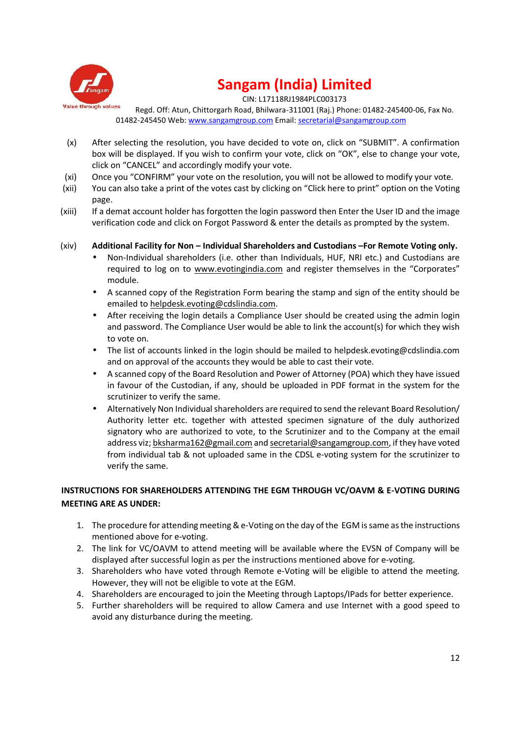

CIN: L17118RJ1984PLC003173

Regd. Off: Atun, Chittorgarh Road, Bhilwara-311001 (Raj.) Phone: 01482-245400-06, Fax No. 01482-245450 Web: www.sangamgroup.com Email: secretarial@sangamgroup.com

- (x) After selecting the resolution, you have decided to vote on, click on "SUBMIT". A confirmation box will be displayed. If you wish to confirm your vote, click on "OK", else to change your vote, click on "CANCEL" and accordingly modify your vote.
- (xi) Once you "CONFIRM" your vote on the resolution, you will not be allowed to modify your vote.
- (xii) You can also take a print of the votes cast by clicking on "Click here to print" option on the Voting page.
- (xiii) If a demat account holder has forgotten the login password then Enter the User ID and the image verification code and click on Forgot Password & enter the details as prompted by the system.
- (xiv) **Additional Facility for Non – Individual Shareholders and Custodians –For Remote Voting only.**
	- Non-Individual shareholders (i.e. other than Individuals, HUF, NRI etc.) and Custodians are required to log on to www.evotingindia.com and register themselves in the "Corporates" module.
	- A scanned copy of the Registration Form bearing the stamp and sign of the entity should be emailed to helpdesk.evoting@cdslindia.com.
	- After receiving the login details a Compliance User should be created using the admin login and password. The Compliance User would be able to link the account(s) for which they wish to vote on.
	- The list of accounts linked in the login should be mailed to helpdesk.evoting@cdslindia.com and on approval of the accounts they would be able to cast their vote.
	- A scanned copy of the Board Resolution and Power of Attorney (POA) which they have issued in favour of the Custodian, if any, should be uploaded in PDF format in the system for the scrutinizer to verify the same.
	- Alternatively Non Individual shareholders are required to send the relevant Board Resolution/ Authority letter etc. together with attested specimen signature of the duly authorized signatory who are authorized to vote, to the Scrutinizer and to the Company at the email address viz; bksharma162@gmail.com and secretarial@sangamgroup.com, if they have voted from individual tab & not uploaded same in the CDSL e-voting system for the scrutinizer to verify the same.

### **INSTRUCTIONS FOR SHAREHOLDERS ATTENDING THE EGM THROUGH VC/OAVM & E-VOTING DURING MEETING ARE AS UNDER:**

- 1. The procedure for attending meeting & e-Voting on the day of the EGM is same as the instructions mentioned above for e-voting.
- 2. The link for VC/OAVM to attend meeting will be available where the EVSN of Company will be displayed after successful login as per the instructions mentioned above for e-voting.
- 3. Shareholders who have voted through Remote e-Voting will be eligible to attend the meeting. However, they will not be eligible to vote at the EGM.
- 4. Shareholders are encouraged to join the Meeting through Laptops/IPads for better experience.
- 5. Further shareholders will be required to allow Camera and use Internet with a good speed to avoid any disturbance during the meeting.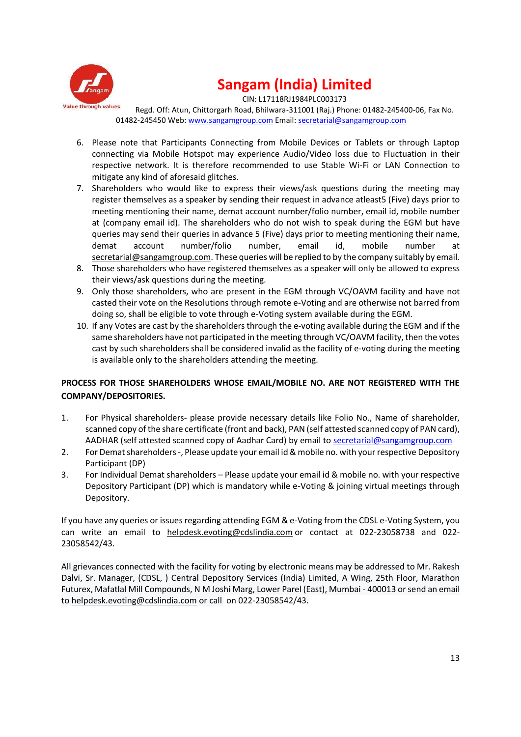

CIN: L17118RJ1984PLC003173

Regd. Off: Atun, Chittorgarh Road, Bhilwara-311001 (Raj.) Phone: 01482-245400-06, Fax No. 01482-245450 Web: www.sangamgroup.com Email: secretarial@sangamgroup.com

- 6. Please note that Participants Connecting from Mobile Devices or Tablets or through Laptop connecting via Mobile Hotspot may experience Audio/Video loss due to Fluctuation in their respective network. It is therefore recommended to use Stable Wi-Fi or LAN Connection to mitigate any kind of aforesaid glitches.
- 7. Shareholders who would like to express their views/ask questions during the meeting may register themselves as a speaker by sending their request in advance atleast5 (Five) days prior to meeting mentioning their name, demat account number/folio number, email id, mobile number at (company email id). The shareholders who do not wish to speak during the EGM but have queries may send their queries in advance 5 (Five) days prior to meeting mentioning their name, demat account number/folio number, email id, mobile number at secretarial@sangamgroup.com. These queries will be replied to by the company suitably by email.
- 8. Those shareholders who have registered themselves as a speaker will only be allowed to express their views/ask questions during the meeting.
- 9. Only those shareholders, who are present in the EGM through VC/OAVM facility and have not casted their vote on the Resolutions through remote e-Voting and are otherwise not barred from doing so, shall be eligible to vote through e-Voting system available during the EGM.
- 10. If any Votes are cast by the shareholders through the e-voting available during the EGM and if the same shareholders have not participated in the meeting through VC/OAVM facility, then the votes cast by such shareholders shall be considered invalid as the facility of e-voting during the meeting is available only to the shareholders attending the meeting.

### **PROCESS FOR THOSE SHAREHOLDERS WHOSE EMAIL/MOBILE NO. ARE NOT REGISTERED WITH THE COMPANY/DEPOSITORIES.**

- 1. For Physical shareholders- please provide necessary details like Folio No., Name of shareholder, scanned copy of the share certificate (front and back), PAN (self attested scanned copy of PAN card), AADHAR (self attested scanned copy of Aadhar Card) by email to secretarial@sangamgroup.com
- 2. For Demat shareholders-, Please update your email id & mobile no. with your respective Depository Participant (DP)
- 3. For Individual Demat shareholders Please update your email id & mobile no. with your respective Depository Participant (DP) which is mandatory while e-Voting & joining virtual meetings through Depository.

If you have any queries or issues regarding attending EGM & e-Voting from the CDSL e-Voting System, you can write an email to helpdesk.evoting@cdslindia.com or contact at 022-23058738 and 022- 23058542/43.

All grievances connected with the facility for voting by electronic means may be addressed to Mr. Rakesh Dalvi, Sr. Manager, (CDSL, ) Central Depository Services (India) Limited, A Wing, 25th Floor, Marathon Futurex, Mafatlal Mill Compounds, N M Joshi Marg, Lower Parel (East), Mumbai - 400013 or send an email to helpdesk.evoting@cdslindia.com or call on 022-23058542/43.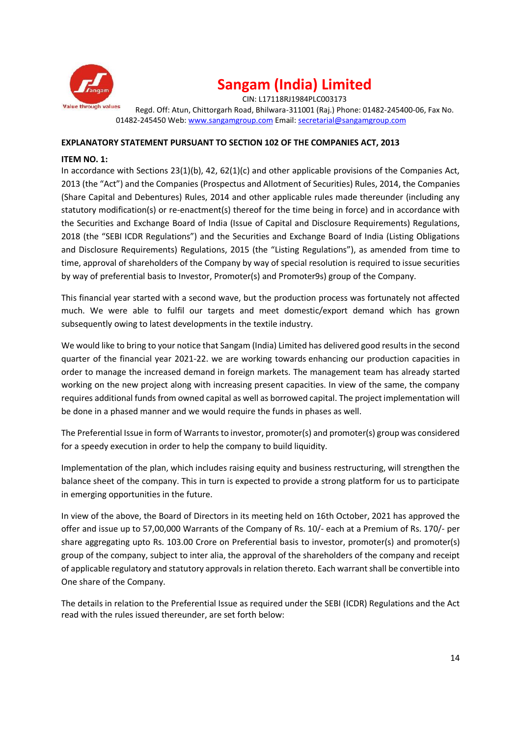

CIN: L17118RJ1984PLC003173 Regd. Off: Atun, Chittorgarh Road, Bhilwara-311001 (Raj.) Phone: 01482-245400-06, Fax No. 01482-245450 Web: www.sangamgroup.com Email: secretarial@sangamgroup.com

#### **EXPLANATORY STATEMENT PURSUANT TO SECTION 102 OF THE COMPANIES ACT, 2013**

#### **ITEM NO. 1:**

In accordance with Sections 23(1)(b), 42, 62(1)(c) and other applicable provisions of the Companies Act, 2013 (the "Act") and the Companies (Prospectus and Allotment of Securities) Rules, 2014, the Companies (Share Capital and Debentures) Rules, 2014 and other applicable rules made thereunder (including any statutory modification(s) or re-enactment(s) thereof for the time being in force) and in accordance with the Securities and Exchange Board of India (Issue of Capital and Disclosure Requirements) Regulations, 2018 (the "SEBI ICDR Regulations") and the Securities and Exchange Board of India (Listing Obligations and Disclosure Requirements) Regulations, 2015 (the "Listing Regulations"), as amended from time to time, approval of shareholders of the Company by way of special resolution is required to issue securities by way of preferential basis to Investor, Promoter(s) and Promoter9s) group of the Company.

This financial year started with a second wave, but the production process was fortunately not affected much. We were able to fulfil our targets and meet domestic/export demand which has grown subsequently owing to latest developments in the textile industry.

We would like to bring to your notice that Sangam (India) Limited has delivered good results in the second quarter of the financial year 2021-22. we are working towards enhancing our production capacities in order to manage the increased demand in foreign markets. The management team has already started working on the new project along with increasing present capacities. In view of the same, the company requires additional funds from owned capital as well as borrowed capital. The project implementation will be done in a phased manner and we would require the funds in phases as well.

The Preferential Issue in form of Warrants to investor, promoter(s) and promoter(s) group was considered for a speedy execution in order to help the company to build liquidity.

Implementation of the plan, which includes raising equity and business restructuring, will strengthen the balance sheet of the company. This in turn is expected to provide a strong platform for us to participate in emerging opportunities in the future.

In view of the above, the Board of Directors in its meeting held on 16th October, 2021 has approved the offer and issue up to 57,00,000 Warrants of the Company of Rs. 10/- each at a Premium of Rs. 170/- per share aggregating upto Rs. 103.00 Crore on Preferential basis to investor, promoter(s) and promoter(s) group of the company, subject to inter alia, the approval of the shareholders of the company and receipt of applicable regulatory and statutory approvals in relation thereto. Each warrant shall be convertible into One share of the Company.

The details in relation to the Preferential Issue as required under the SEBI (ICDR) Regulations and the Act read with the rules issued thereunder, are set forth below: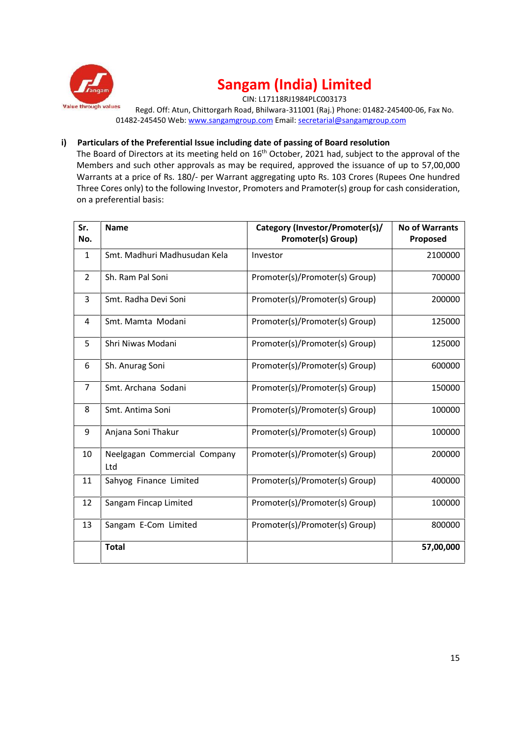

CIN: L17118RJ1984PLC003173

Regd. Off: Atun, Chittorgarh Road, Bhilwara-311001 (Raj.) Phone: 01482-245400-06, Fax No. 01482-245450 Web: www.sangamgroup.com Email: secretarial@sangamgroup.com

#### **i) Particulars of the Preferential Issue including date of passing of Board resolution**

The Board of Directors at its meeting held on 16<sup>th</sup> October, 2021 had, subject to the approval of the Members and such other approvals as may be required, approved the issuance of up to 57,00,000 Warrants at a price of Rs. 180/- per Warrant aggregating upto Rs. 103 Crores (Rupees One hundred Three Cores only) to the following Investor, Promoters and Pramoter(s) group for cash consideration, on a preferential basis:

| Sr.<br>No.     | <b>Name</b>                         | Category (Investor/Promoter(s)/<br>Promoter(s) Group) | <b>No of Warrants</b><br>Proposed |  |
|----------------|-------------------------------------|-------------------------------------------------------|-----------------------------------|--|
| $\mathbf{1}$   | Smt. Madhuri Madhusudan Kela        | Investor                                              | 2100000                           |  |
| $\overline{2}$ | Sh. Ram Pal Soni                    | Promoter(s)/Promoter(s) Group)                        | 700000                            |  |
| 3              | Smt. Radha Devi Soni                | Promoter(s)/Promoter(s) Group)                        | 200000                            |  |
| 4              | Smt. Mamta Modani                   | Promoter(s)/Promoter(s) Group)                        | 125000                            |  |
| 5              | Shri Niwas Modani                   | Promoter(s)/Promoter(s) Group)                        | 125000                            |  |
| 6              | Sh. Anurag Soni                     | Promoter(s)/Promoter(s) Group)                        | 600000                            |  |
| $\overline{7}$ | Smt. Archana Sodani                 | Promoter(s)/Promoter(s) Group)                        | 150000                            |  |
| 8              | Smt. Antima Soni                    | Promoter(s)/Promoter(s) Group)                        | 100000                            |  |
| 9              | Anjana Soni Thakur                  | Promoter(s)/Promoter(s) Group)                        | 100000                            |  |
| 10             | Neelgagan Commercial Company<br>Ltd | Promoter(s)/Promoter(s) Group)                        | 200000                            |  |
| 11             | Sahyog Finance Limited              | Promoter(s)/Promoter(s) Group)                        | 400000                            |  |
| 12             | Sangam Fincap Limited               | Promoter(s)/Promoter(s) Group)                        | 100000                            |  |
| 13             | Sangam E-Com Limited                | Promoter(s)/Promoter(s) Group)                        | 800000                            |  |
|                | <b>Total</b>                        |                                                       | 57,00,000                         |  |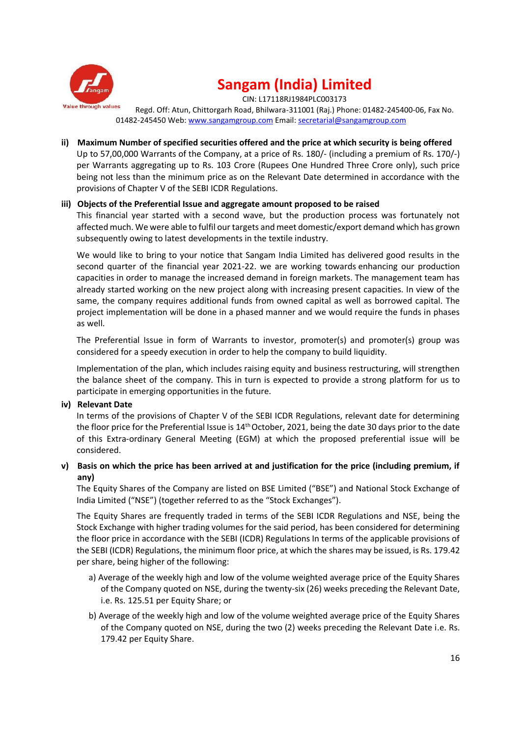

CIN: L17118RJ1984PLC003173

Regd. Off: Atun, Chittorgarh Road, Bhilwara-311001 (Raj.) Phone: 01482-245400-06, Fax No. 01482-245450 Web: www.sangamgroup.com Email: secretarial@sangamgroup.com

#### **ii) Maximum Number of specified securities offered and the price at which security is being offered**

Up to 57,00,000 Warrants of the Company, at a price of Rs. 180/- (including a premium of Rs. 170/-) per Warrants aggregating up to Rs. 103 Crore (Rupees One Hundred Three Crore only), such price being not less than the minimum price as on the Relevant Date determined in accordance with the provisions of Chapter V of the SEBI ICDR Regulations.

#### **iii) Objects of the Preferential Issue and aggregate amount proposed to be raised**

This financial year started with a second wave, but the production process was fortunately not affected much. We were able to fulfil our targets and meet domestic/export demand which has grown subsequently owing to latest developments in the textile industry.

We would like to bring to your notice that Sangam India Limited has delivered good results in the second quarter of the financial year 2021-22. we are working towards enhancing our production capacities in order to manage the increased demand in foreign markets. The management team has already started working on the new project along with increasing present capacities. In view of the same, the company requires additional funds from owned capital as well as borrowed capital. The project implementation will be done in a phased manner and we would require the funds in phases as well.

The Preferential Issue in form of Warrants to investor, promoter(s) and promoter(s) group was considered for a speedy execution in order to help the company to build liquidity.

Implementation of the plan, which includes raising equity and business restructuring, will strengthen the balance sheet of the company. This in turn is expected to provide a strong platform for us to participate in emerging opportunities in the future.

#### **iv) Relevant Date**

In terms of the provisions of Chapter V of the SEBI ICDR Regulations, relevant date for determining the floor price for the Preferential Issue is  $14<sup>th</sup>$  October, 2021, being the date 30 days prior to the date of this Extra-ordinary General Meeting (EGM) at which the proposed preferential issue will be considered.

### **v) Basis on which the price has been arrived at and justification for the price (including premium, if any)**

The Equity Shares of the Company are listed on BSE Limited ("BSE") and National Stock Exchange of India Limited ("NSE") (together referred to as the "Stock Exchanges").

The Equity Shares are frequently traded in terms of the SEBI ICDR Regulations and NSE, being the Stock Exchange with higher trading volumes for the said period, has been considered for determining the floor price in accordance with the SEBI (ICDR) Regulations In terms of the applicable provisions of the SEBI (ICDR) Regulations, the minimum floor price, at which the shares may be issued, is Rs. 179.42 per share, being higher of the following:

- a) Average of the weekly high and low of the volume weighted average price of the Equity Shares of the Company quoted on NSE, during the twenty-six (26) weeks preceding the Relevant Date, i.e. Rs. 125.51 per Equity Share; or
- b) Average of the weekly high and low of the volume weighted average price of the Equity Shares of the Company quoted on NSE, during the two (2) weeks preceding the Relevant Date i.e. Rs. 179.42 per Equity Share.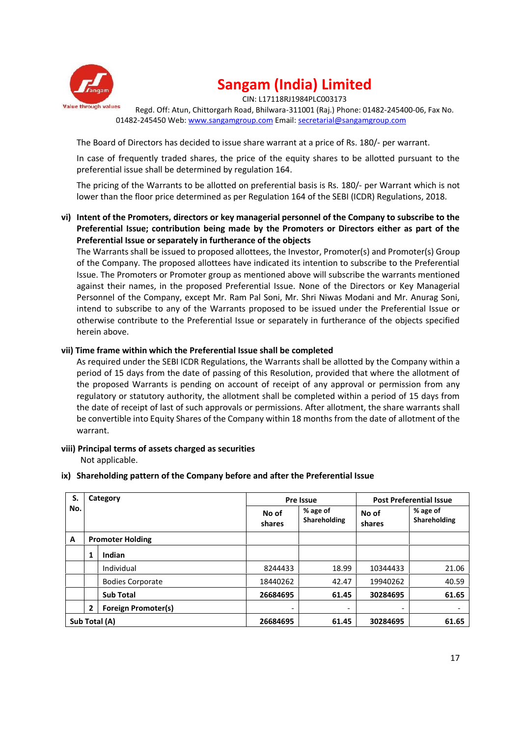

CIN: L17118RJ1984PLC003173

Regd. Off: Atun, Chittorgarh Road, Bhilwara-311001 (Raj.) Phone: 01482-245400-06, Fax No. 01482-245450 Web: www.sangamgroup.com Email: secretarial@sangamgroup.com

The Board of Directors has decided to issue share warrant at a price of Rs. 180/- per warrant.

In case of frequently traded shares, the price of the equity shares to be allotted pursuant to the preferential issue shall be determined by regulation 164.

The pricing of the Warrants to be allotted on preferential basis is Rs. 180/- per Warrant which is not lower than the floor price determined as per Regulation 164 of the SEBI (ICDR) Regulations, 2018.

**vi) Intent of the Promoters, directors or key managerial personnel of the Company to subscribe to the Preferential Issue; contribution being made by the Promoters or Directors either as part of the Preferential Issue or separately in furtherance of the objects**

The Warrants shall be issued to proposed allottees, the Investor, Promoter(s) and Promoter(s) Group of the Company. The proposed allottees have indicated its intention to subscribe to the Preferential Issue. The Promoters or Promoter group as mentioned above will subscribe the warrants mentioned against their names, in the proposed Preferential Issue. None of the Directors or Key Managerial Personnel of the Company, except Mr. Ram Pal Soni, Mr. Shri Niwas Modani and Mr. Anurag Soni, intend to subscribe to any of the Warrants proposed to be issued under the Preferential Issue or otherwise contribute to the Preferential Issue or separately in furtherance of the objects specified herein above.

### **vii) Time frame within which the Preferential Issue shall be completed**

As required under the SEBI ICDR Regulations, the Warrants shall be allotted by the Company within a period of 15 days from the date of passing of this Resolution, provided that where the allotment of the proposed Warrants is pending on account of receipt of any approval or permission from any regulatory or statutory authority, the allotment shall be completed within a period of 15 days from the date of receipt of last of such approvals or permissions. After allotment, the share warrants shall be convertible into Equity Shares of the Company within 18 months from the date of allotment of the warrant.

**viii) Principal terms of assets charged as securities**

Not applicable.

**ix) Shareholding pattern of the Company before and after the Preferential Issue**

| S.  | Category                |                            |                 | Pre Issue                |                          | <b>Post Preferential Issue</b>  |
|-----|-------------------------|----------------------------|-----------------|--------------------------|--------------------------|---------------------------------|
| No. |                         |                            | No of<br>shares | % age of<br>Shareholding | No of<br>shares          | % age of<br><b>Shareholding</b> |
| A   | <b>Promoter Holding</b> |                            |                 |                          |                          |                                 |
|     | 1                       | Indian                     |                 |                          |                          |                                 |
|     |                         | Individual                 | 8244433         | 18.99                    | 10344433                 | 21.06                           |
|     |                         | <b>Bodies Corporate</b>    | 18440262        | 42.47                    | 19940262                 | 40.59                           |
|     |                         | <b>Sub Total</b>           | 26684695        | 61.45                    | 30284695                 | 61.65                           |
|     | $\overline{2}$          | <b>Foreign Promoter(s)</b> | -               | $\overline{\phantom{a}}$ | $\overline{\phantom{a}}$ | $\overline{\phantom{a}}$        |
|     |                         | Sub Total (A)              | 26684695        | 61.45                    | 30284695                 | 61.65                           |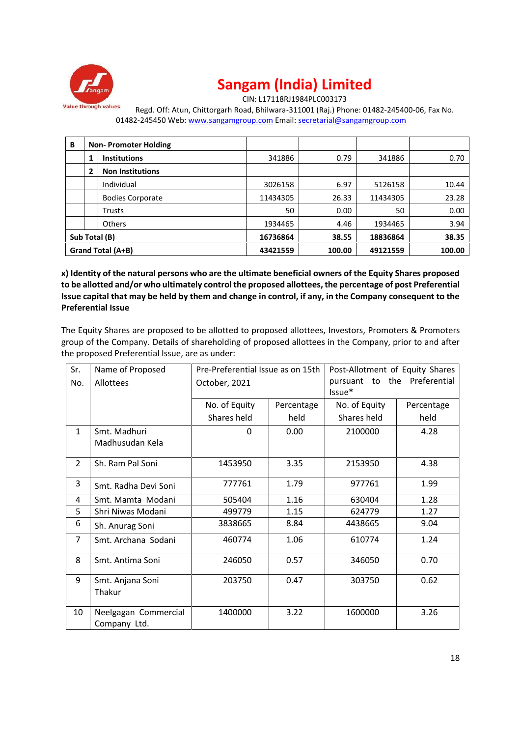

CIN: L17118RJ1984PLC003173

Regd. Off: Atun, Chittorgarh Road, Bhilwara-311001 (Raj.) Phone: 01482-245400-06, Fax No. 01482-245450 Web: www.sangamgroup.com Email: secretarial@sangamgroup.com

| В                 |   | <b>Non-Promoter Holding</b> |          |          |          |       |
|-------------------|---|-----------------------------|----------|----------|----------|-------|
|                   | 1 | <b>Institutions</b>         | 341886   | 0.79     | 341886   | 0.70  |
|                   | 2 | <b>Non Institutions</b>     |          |          |          |       |
|                   |   | Individual                  | 3026158  | 6.97     | 5126158  | 10.44 |
|                   |   | <b>Bodies Corporate</b>     | 11434305 | 26.33    | 11434305 | 23.28 |
|                   |   | Trusts                      | 50       | 0.00     | 50       | 0.00  |
|                   |   | <b>Others</b>               | 1934465  | 4.46     | 1934465  | 3.94  |
| Sub Total (B)     |   |                             | 16736864 | 38.55    | 18836864 | 38.35 |
| Grand Total (A+B) |   | 43421559                    | 100.00   | 49121559 | 100.00   |       |

**x) Identity of the natural persons who are the ultimate beneficial owners of the Equity Shares proposed to be allotted and/or who ultimately control the proposed allottees, the percentage of post Preferential Issue capital that may be held by them and change in control, if any, in the Company consequent to the Preferential Issue**

The Equity Shares are proposed to be allotted to proposed allottees, Investors, Promoters & Promoters group of the Company. Details of shareholding of proposed allottees in the Company, prior to and after the proposed Preferential Issue, are as under:

| Sr.<br>No.     | Name of Proposed<br>Allottees        | Pre-Preferential Issue as on 15th<br>October, 2021 |            | Post-Allotment of Equity Shares<br>pursuant to the Preferential<br>Issue* |            |  |
|----------------|--------------------------------------|----------------------------------------------------|------------|---------------------------------------------------------------------------|------------|--|
|                |                                      | No. of Equity                                      | Percentage | No. of Equity                                                             | Percentage |  |
|                |                                      | Shares held                                        | held       | Shares held                                                               | held       |  |
| $\mathbf{1}$   | Smt. Madhuri<br>Madhusudan Kela      | 0                                                  | 0.00       | 2100000                                                                   | 4.28       |  |
| $\overline{2}$ | Sh. Ram Pal Soni                     | 1453950                                            | 3.35       | 2153950                                                                   | 4.38       |  |
| 3              | Smt. Radha Devi Soni                 | 777761                                             | 1.79       | 977761                                                                    | 1.99       |  |
| 4              | Smt. Mamta Modani                    | 505404                                             | 1.16       | 630404                                                                    | 1.28       |  |
| 5              | Shri Niwas Modani                    | 499779                                             | 1.15       | 624779                                                                    | 1.27       |  |
| 6              | Sh. Anurag Soni                      | 3838665                                            | 8.84       | 4438665                                                                   | 9.04       |  |
| $\overline{7}$ | Smt. Archana Sodani                  | 460774                                             | 1.06       | 610774                                                                    | 1.24       |  |
| 8              | Smt. Antima Soni                     | 246050                                             | 0.57       | 346050                                                                    | 0.70       |  |
| 9              | Smt. Anjana Soni<br>Thakur           | 203750                                             | 0.47       | 303750                                                                    | 0.62       |  |
| 10             | Neelgagan Commercial<br>Company Ltd. | 1400000                                            | 3.22       | 1600000                                                                   | 3.26       |  |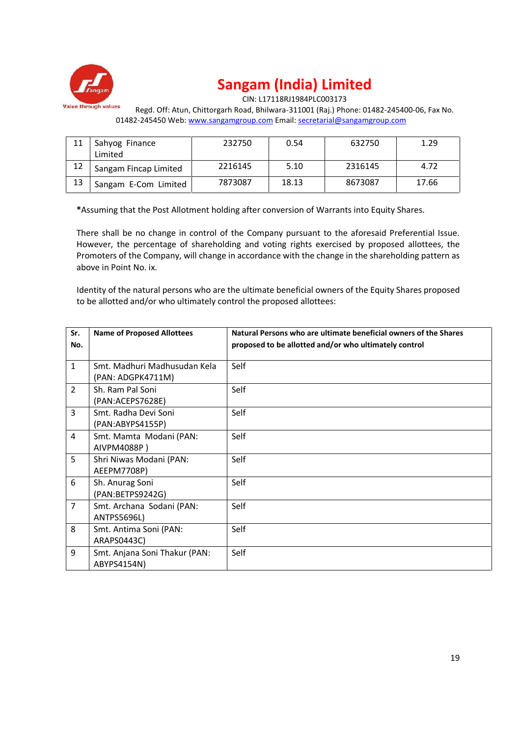

CIN: L17118RJ1984PLC003173

Regd. Off: Atun, Chittorgarh Road, Bhilwara-311001 (Raj.) Phone: 01482-245400-06, Fax No. 01482-245450 Web: www.sangamgroup.com Email: secretarial@sangamgroup.com

|    | Sahyog Finance<br>Limited | 232750  | 0.54  | 632750  | 1.29  |
|----|---------------------------|---------|-------|---------|-------|
|    | Sangam Fincap Limited     | 2216145 | 5.10  | 2316145 | 4.72  |
| 13 | Sangam E-Com Limited      | 7873087 | 18.13 | 8673087 | 17.66 |

**\***Assuming that the Post Allotment holding after conversion of Warrants into Equity Shares.

There shall be no change in control of the Company pursuant to the aforesaid Preferential Issue. However, the percentage of shareholding and voting rights exercised by proposed allottees, the Promoters of the Company, will change in accordance with the change in the shareholding pattern as above in Point No. ix.

Identity of the natural persons who are the ultimate beneficial owners of the Equity Shares proposed to be allotted and/or who ultimately control the proposed allottees:

| Sr.<br>No.     | <b>Name of Proposed Allottees</b>                 | Natural Persons who are ultimate beneficial owners of the Shares<br>proposed to be allotted and/or who ultimately control |
|----------------|---------------------------------------------------|---------------------------------------------------------------------------------------------------------------------------|
| $\mathbf{1}$   | Smt. Madhuri Madhusudan Kela<br>(PAN: ADGPK4711M) | Self                                                                                                                      |
| $\overline{2}$ | Sh. Ram Pal Soni<br>(PAN:ACEPS7628E)              | Self                                                                                                                      |
| 3              | Smt. Radha Devi Soni<br>(PAN:ABYPS4155P)          | Self                                                                                                                      |
| 4              | Smt. Mamta Modani (PAN:<br>AIVPM4088P)            | Self                                                                                                                      |
| 5              | Shri Niwas Modani (PAN:<br>AEEPM7708P)            | Self                                                                                                                      |
| 6              | Sh. Anurag Soni<br>(PAN:BETPS9242G)               | Self                                                                                                                      |
| $\overline{7}$ | Smt. Archana Sodani (PAN:<br><b>ANTPS5696L)</b>   | Self                                                                                                                      |
| 8              | Smt. Antima Soni (PAN:<br>ARAPS0443C)             | Self                                                                                                                      |
| 9              | Smt. Anjana Soni Thakur (PAN:<br>ABYPS4154N)      | Self                                                                                                                      |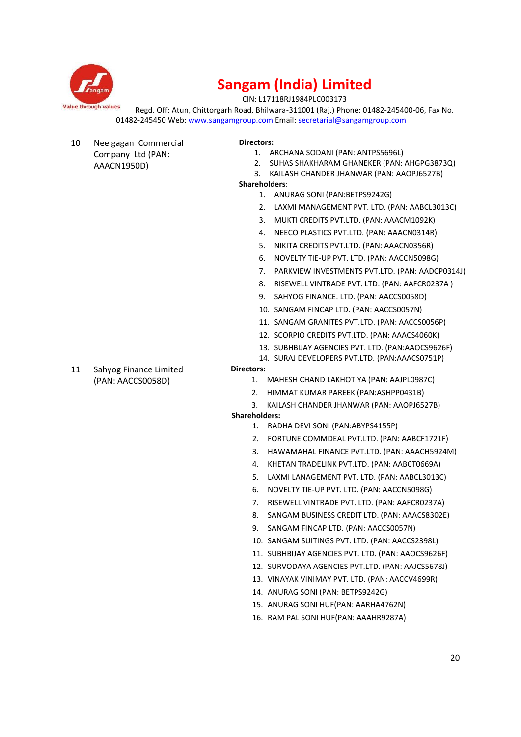

CIN: L17118RJ1984PLC003173

Regd. Off: Atun, Chittorgarh Road, Bhilwara-311001 (Raj.) Phone: 01482-245400-06, Fax No. 01482-245450 Web: www.sangamgroup.com Email: secretarial@sangamgroup.com

| 10 | Neelgagan Commercial   | <b>Directors:</b>                                                                                                                                                                                                                                                                                                                                                                                                                                                                                                                                                                                                                                                                                                                                                                                                                                                                                                                                                                                                                                                                                 |
|----|------------------------|---------------------------------------------------------------------------------------------------------------------------------------------------------------------------------------------------------------------------------------------------------------------------------------------------------------------------------------------------------------------------------------------------------------------------------------------------------------------------------------------------------------------------------------------------------------------------------------------------------------------------------------------------------------------------------------------------------------------------------------------------------------------------------------------------------------------------------------------------------------------------------------------------------------------------------------------------------------------------------------------------------------------------------------------------------------------------------------------------|
|    | Company Ltd (PAN:      | 1. ARCHANA SODANI (PAN: ANTPS5696L)                                                                                                                                                                                                                                                                                                                                                                                                                                                                                                                                                                                                                                                                                                                                                                                                                                                                                                                                                                                                                                                               |
|    | AAACN1950D)            | SUHAS SHAKHARAM GHANEKER (PAN: AHGPG3873Q)<br>2.                                                                                                                                                                                                                                                                                                                                                                                                                                                                                                                                                                                                                                                                                                                                                                                                                                                                                                                                                                                                                                                  |
|    |                        | KAILASH CHANDER JHANWAR (PAN: AAOPJ6527B)<br>3.<br>Shareholders:                                                                                                                                                                                                                                                                                                                                                                                                                                                                                                                                                                                                                                                                                                                                                                                                                                                                                                                                                                                                                                  |
|    |                        | 1. ANURAG SONI (PAN: BETPS9242G)                                                                                                                                                                                                                                                                                                                                                                                                                                                                                                                                                                                                                                                                                                                                                                                                                                                                                                                                                                                                                                                                  |
|    |                        | LAXMI MANAGEMENT PVT. LTD. (PAN: AABCL3013C)<br>2.                                                                                                                                                                                                                                                                                                                                                                                                                                                                                                                                                                                                                                                                                                                                                                                                                                                                                                                                                                                                                                                |
|    |                        | MUKTI CREDITS PVT.LTD. (PAN: AAACM1092K)<br>3.                                                                                                                                                                                                                                                                                                                                                                                                                                                                                                                                                                                                                                                                                                                                                                                                                                                                                                                                                                                                                                                    |
|    |                        | NEECO PLASTICS PVT.LTD. (PAN: AAACN0314R)<br>4.                                                                                                                                                                                                                                                                                                                                                                                                                                                                                                                                                                                                                                                                                                                                                                                                                                                                                                                                                                                                                                                   |
|    |                        | NIKITA CREDITS PVT.LTD. (PAN: AAACN0356R)<br>5.                                                                                                                                                                                                                                                                                                                                                                                                                                                                                                                                                                                                                                                                                                                                                                                                                                                                                                                                                                                                                                                   |
|    |                        | NOVELTY TIE-UP PVT. LTD. (PAN: AACCN5098G)<br>6.                                                                                                                                                                                                                                                                                                                                                                                                                                                                                                                                                                                                                                                                                                                                                                                                                                                                                                                                                                                                                                                  |
|    |                        | PARKVIEW INVESTMENTS PVT.LTD. (PAN: AADCP0314J)<br>7.                                                                                                                                                                                                                                                                                                                                                                                                                                                                                                                                                                                                                                                                                                                                                                                                                                                                                                                                                                                                                                             |
|    |                        | RISEWELL VINTRADE PVT. LTD. (PAN: AAFCR0237A)<br>8.                                                                                                                                                                                                                                                                                                                                                                                                                                                                                                                                                                                                                                                                                                                                                                                                                                                                                                                                                                                                                                               |
|    |                        | 9.                                                                                                                                                                                                                                                                                                                                                                                                                                                                                                                                                                                                                                                                                                                                                                                                                                                                                                                                                                                                                                                                                                |
|    |                        | 10. SANGAM FINCAP LTD. (PAN: AACCS0057N)                                                                                                                                                                                                                                                                                                                                                                                                                                                                                                                                                                                                                                                                                                                                                                                                                                                                                                                                                                                                                                                          |
|    |                        |                                                                                                                                                                                                                                                                                                                                                                                                                                                                                                                                                                                                                                                                                                                                                                                                                                                                                                                                                                                                                                                                                                   |
|    |                        |                                                                                                                                                                                                                                                                                                                                                                                                                                                                                                                                                                                                                                                                                                                                                                                                                                                                                                                                                                                                                                                                                                   |
|    |                        |                                                                                                                                                                                                                                                                                                                                                                                                                                                                                                                                                                                                                                                                                                                                                                                                                                                                                                                                                                                                                                                                                                   |
|    |                        | 14. SURAJ DEVELOPERS PVT.LTD. (PAN:AAACS0751P)                                                                                                                                                                                                                                                                                                                                                                                                                                                                                                                                                                                                                                                                                                                                                                                                                                                                                                                                                                                                                                                    |
| 11 | Sahyog Finance Limited | <b>Directors:</b>                                                                                                                                                                                                                                                                                                                                                                                                                                                                                                                                                                                                                                                                                                                                                                                                                                                                                                                                                                                                                                                                                 |
|    | (PAN: AACCS0058D)      |                                                                                                                                                                                                                                                                                                                                                                                                                                                                                                                                                                                                                                                                                                                                                                                                                                                                                                                                                                                                                                                                                                   |
|    |                        | HIMMAT KUMAR PAREEK (PAN: ASHPP0431B)<br>2.                                                                                                                                                                                                                                                                                                                                                                                                                                                                                                                                                                                                                                                                                                                                                                                                                                                                                                                                                                                                                                                       |
|    |                        | 3.                                                                                                                                                                                                                                                                                                                                                                                                                                                                                                                                                                                                                                                                                                                                                                                                                                                                                                                                                                                                                                                                                                |
|    |                        |                                                                                                                                                                                                                                                                                                                                                                                                                                                                                                                                                                                                                                                                                                                                                                                                                                                                                                                                                                                                                                                                                                   |
|    |                        |                                                                                                                                                                                                                                                                                                                                                                                                                                                                                                                                                                                                                                                                                                                                                                                                                                                                                                                                                                                                                                                                                                   |
|    |                        |                                                                                                                                                                                                                                                                                                                                                                                                                                                                                                                                                                                                                                                                                                                                                                                                                                                                                                                                                                                                                                                                                                   |
|    |                        |                                                                                                                                                                                                                                                                                                                                                                                                                                                                                                                                                                                                                                                                                                                                                                                                                                                                                                                                                                                                                                                                                                   |
|    |                        |                                                                                                                                                                                                                                                                                                                                                                                                                                                                                                                                                                                                                                                                                                                                                                                                                                                                                                                                                                                                                                                                                                   |
|    |                        |                                                                                                                                                                                                                                                                                                                                                                                                                                                                                                                                                                                                                                                                                                                                                                                                                                                                                                                                                                                                                                                                                                   |
|    |                        |                                                                                                                                                                                                                                                                                                                                                                                                                                                                                                                                                                                                                                                                                                                                                                                                                                                                                                                                                                                                                                                                                                   |
|    |                        |                                                                                                                                                                                                                                                                                                                                                                                                                                                                                                                                                                                                                                                                                                                                                                                                                                                                                                                                                                                                                                                                                                   |
|    |                        |                                                                                                                                                                                                                                                                                                                                                                                                                                                                                                                                                                                                                                                                                                                                                                                                                                                                                                                                                                                                                                                                                                   |
|    |                        |                                                                                                                                                                                                                                                                                                                                                                                                                                                                                                                                                                                                                                                                                                                                                                                                                                                                                                                                                                                                                                                                                                   |
|    |                        |                                                                                                                                                                                                                                                                                                                                                                                                                                                                                                                                                                                                                                                                                                                                                                                                                                                                                                                                                                                                                                                                                                   |
|    |                        |                                                                                                                                                                                                                                                                                                                                                                                                                                                                                                                                                                                                                                                                                                                                                                                                                                                                                                                                                                                                                                                                                                   |
|    |                        |                                                                                                                                                                                                                                                                                                                                                                                                                                                                                                                                                                                                                                                                                                                                                                                                                                                                                                                                                                                                                                                                                                   |
|    |                        |                                                                                                                                                                                                                                                                                                                                                                                                                                                                                                                                                                                                                                                                                                                                                                                                                                                                                                                                                                                                                                                                                                   |
|    |                        |                                                                                                                                                                                                                                                                                                                                                                                                                                                                                                                                                                                                                                                                                                                                                                                                                                                                                                                                                                                                                                                                                                   |
|    |                        | 16. RAM PAL SONI HUF(PAN: AAAHR9287A)                                                                                                                                                                                                                                                                                                                                                                                                                                                                                                                                                                                                                                                                                                                                                                                                                                                                                                                                                                                                                                                             |
|    |                        | SAHYOG FINANCE. LTD. (PAN: AACCS0058D)<br>11. SANGAM GRANITES PVT.LTD. (PAN: AACCS0056P)<br>12. SCORPIO CREDITS PVT.LTD. (PAN: AAACS4060K)<br>13. SUBHBIJAY AGENCIES PVT. LTD. (PAN:AAOCS9626F)<br>1. MAHESH CHAND LAKHOTIYA (PAN: AAJPL0987C)<br>KAILASH CHANDER JHANWAR (PAN: AAOPJ6527B)<br><b>Shareholders:</b><br>RADHA DEVI SONI (PAN:ABYPS4155P)<br>1.<br>FORTUNE COMMDEAL PVT.LTD. (PAN: AABCF1721F)<br>2.<br>HAWAMAHAL FINANCE PVT.LTD. (PAN: AAACH5924M)<br>3.<br>KHETAN TRADELINK PVT.LTD. (PAN: AABCT0669A)<br>4.<br>LAXMI LANAGEMENT PVT. LTD. (PAN: AABCL3013C)<br>5.<br>NOVELTY TIE-UP PVT. LTD. (PAN: AACCN5098G)<br>6.<br>RISEWELL VINTRADE PVT. LTD. (PAN: AAFCR0237A)<br>7.<br>SANGAM BUSINESS CREDIT LTD. (PAN: AAACS8302E)<br>8.<br>SANGAM FINCAP LTD. (PAN: AACCS0057N)<br>9.<br>10. SANGAM SUITINGS PVT. LTD. (PAN: AACCS2398L)<br>11. SUBHBIJAY AGENCIES PVT. LTD. (PAN: AAOCS9626F)<br>12. SURVODAYA AGENCIES PVT.LTD. (PAN: AAJCS5678J)<br>13. VINAYAK VINIMAY PVT. LTD. (PAN: AACCV4699R)<br>14. ANURAG SONI (PAN: BETPS9242G)<br>15. ANURAG SONI HUF(PAN: AARHA4762N) |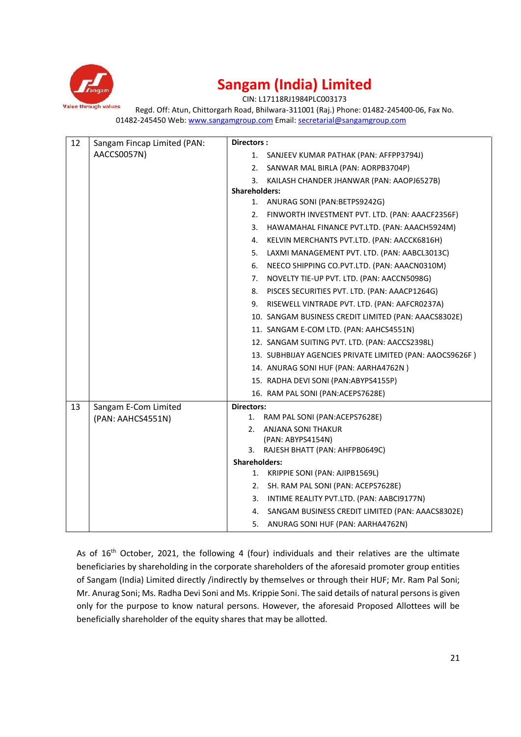

CIN: L17118RJ1984PLC003173

Regd. Off: Atun, Chittorgarh Road, Bhilwara-311001 (Raj.) Phone: 01482-245400-06, Fax No. 01482-245450 Web: www.sangamgroup.com Email: secretarial@sangamgroup.com

| 12 | Sangam Fincap Limited (PAN: | Directors:                                               |
|----|-----------------------------|----------------------------------------------------------|
|    | AACCS0057N)                 | 1. SANJEEV KUMAR PATHAK (PAN: AFFPP3794J)                |
|    |                             | SANWAR MAL BIRLA (PAN: AORPB3704P)<br>2.                 |
|    |                             | KAILASH CHANDER JHANWAR (PAN: AAOPJ6527B)<br>3.          |
|    |                             | <b>Shareholders:</b>                                     |
|    |                             | 1. ANURAG SONI (PAN: BETPS9242G)                         |
|    |                             | 2. FINWORTH INVESTMENT PVT. LTD. (PAN: AAACF2356F)       |
|    |                             | 3. HAWAMAHAL FINANCE PVT.LTD. (PAN: AAACH5924M)          |
|    |                             | 4. KELVIN MERCHANTS PVT.LTD. (PAN: AACCK6816H)           |
|    |                             | LAXMI MANAGEMENT PVT. LTD. (PAN: AABCL3013C)<br>5.       |
|    |                             | NEECO SHIPPING CO.PVT.LTD. (PAN: AAACN0310M)<br>6.       |
|    |                             | NOVELTY TIE-UP PVT. LTD. (PAN: AACCN5098G)<br>7.         |
|    |                             | 8. PISCES SECURITIES PVT. LTD. (PAN: AAACP1264G)         |
|    |                             | 9. RISEWELL VINTRADE PVT. LTD. (PAN: AAFCR0237A)         |
|    |                             | 10. SANGAM BUSINESS CREDIT LIMITED (PAN: AAACS8302E)     |
|    |                             | 11. SANGAM E-COM LTD. (PAN: AAHCS4551N)                  |
|    |                             | 12. SANGAM SUITING PVT. LTD. (PAN: AACCS2398L)           |
|    |                             | 13. SUBHBIJAY AGENCIES PRIVATE LIMITED (PAN: AAOCS9626F) |
|    |                             | 14. ANURAG SONI HUF (PAN: AARHA4762N)                    |
|    |                             | 15. RADHA DEVI SONI (PAN:ABYPS4155P)                     |
|    |                             | 16. RAM PAL SONI (PAN:ACEPS7628E)                        |
| 13 | Sangam E-Com Limited        | <b>Directors:</b>                                        |
|    | (PAN: AAHCS4551N)           | 1. RAM PAL SONI (PAN: ACEPS7628E)                        |
|    |                             | 2.<br>ANJANA SONI THAKUR                                 |
|    |                             | (PAN: ABYPS4154N)                                        |
|    |                             | 3. RAJESH BHATT (PAN: AHFPB0649C)                        |
|    |                             | <b>Shareholders:</b>                                     |
|    |                             | 1. KRIPPIE SONI (PAN: AJIPB1569L)                        |
|    |                             | SH. RAM PAL SONI (PAN: ACEPS7628E)<br>2.                 |
|    |                             | INTIME REALITY PVT.LTD. (PAN: AABCI9177N)<br>3.          |
|    |                             | SANGAM BUSINESS CREDIT LIMITED (PAN: AAACS8302E)<br>4.   |
|    |                             | 5. ANURAG SONI HUF (PAN: AARHA4762N)                     |

As of 16<sup>th</sup> October, 2021, the following 4 (four) individuals and their relatives are the ultimate beneficiaries by shareholding in the corporate shareholders of the aforesaid promoter group entities of Sangam (India) Limited directly /indirectly by themselves or through their HUF; Mr. Ram Pal Soni; Mr. Anurag Soni; Ms. Radha Devi Soni and Ms. Krippie Soni. The said details of natural persons is given only for the purpose to know natural persons. However, the aforesaid Proposed Allottees will be beneficially shareholder of the equity shares that may be allotted.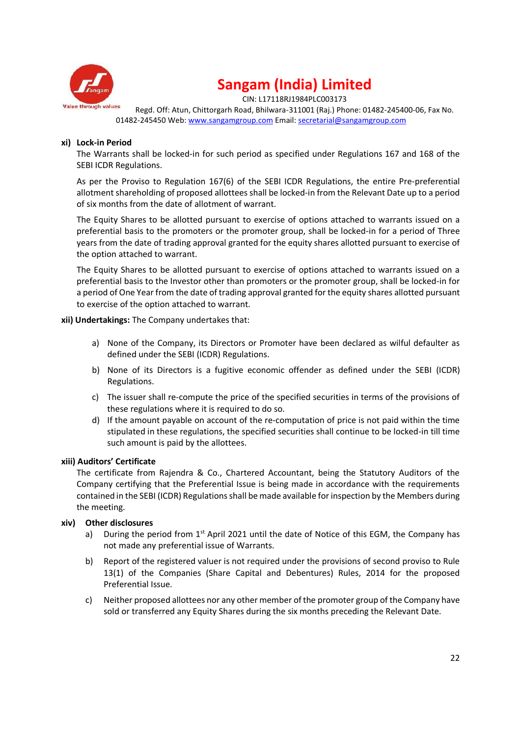

CIN: L17118RJ1984PLC003173

Regd. Off: Atun, Chittorgarh Road, Bhilwara-311001 (Raj.) Phone: 01482-245400-06, Fax No. 01482-245450 Web: www.sangamgroup.com Email: secretarial@sangamgroup.com

#### **xi) Lock-in Period**

The Warrants shall be locked-in for such period as specified under Regulations 167 and 168 of the SEBI ICDR Regulations.

As per the Proviso to Regulation 167(6) of the SEBI ICDR Regulations, the entire Pre-preferential allotment shareholding of proposed allottees shall be locked-in from the Relevant Date up to a period of six months from the date of allotment of warrant.

The Equity Shares to be allotted pursuant to exercise of options attached to warrants issued on a preferential basis to the promoters or the promoter group, shall be locked-in for a period of Three years from the date of trading approval granted for the equity shares allotted pursuant to exercise of the option attached to warrant.

The Equity Shares to be allotted pursuant to exercise of options attached to warrants issued on a preferential basis to the Investor other than promoters or the promoter group, shall be locked-in for a period of One Year from the date of trading approval granted for the equity shares allotted pursuant to exercise of the option attached to warrant.

**xii) Undertakings:** The Company undertakes that:

- a) None of the Company, its Directors or Promoter have been declared as wilful defaulter as defined under the SEBI (ICDR) Regulations.
- b) None of its Directors is a fugitive economic offender as defined under the SEBI (ICDR) Regulations.
- c) The issuer shall re-compute the price of the specified securities in terms of the provisions of these regulations where it is required to do so.
- d) If the amount payable on account of the re-computation of price is not paid within the time stipulated in these regulations, the specified securities shall continue to be locked-in till time such amount is paid by the allottees.

### **xiii) Auditors' Certificate**

The certificate from Rajendra & Co., Chartered Accountant, being the Statutory Auditors of the Company certifying that the Preferential Issue is being made in accordance with the requirements contained in the SEBI (ICDR) Regulations shall be made available for inspection by the Members during the meeting.

### **xiv) Other disclosures**

- a) During the period from  $1<sup>st</sup>$  April 2021 until the date of Notice of this EGM, the Company has not made any preferential issue of Warrants.
- b) Report of the registered valuer is not required under the provisions of second proviso to Rule 13(1) of the Companies (Share Capital and Debentures) Rules, 2014 for the proposed Preferential Issue.
- c) Neither proposed allottees nor any other member of the promoter group of the Company have sold or transferred any Equity Shares during the six months preceding the Relevant Date.